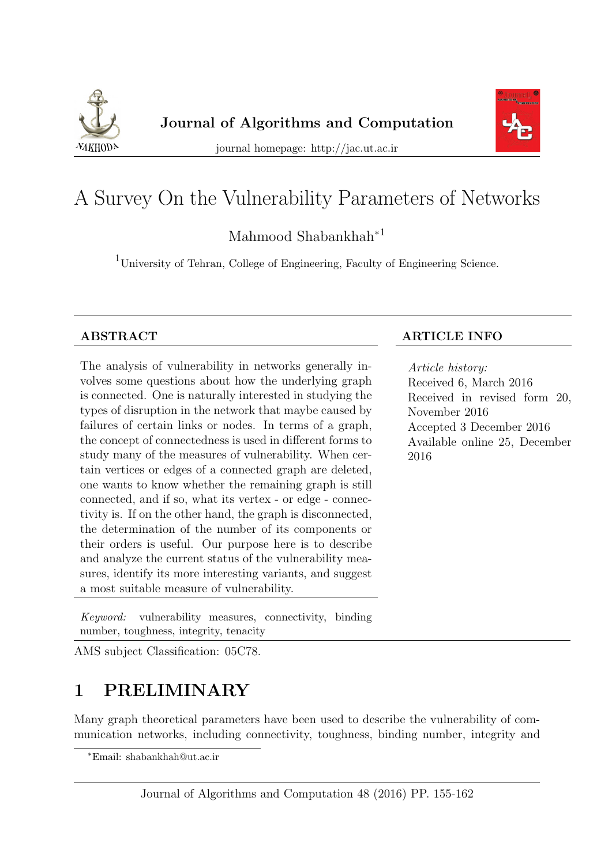



journal homepage: http://jac.ut.ac.ir

# A Survey On the Vulnerability Parameters of Networks

Mahmood Shabankhah<sup>∗</sup><sup>1</sup>

 $^1$  University of Tehran, College of Engineering, Faculty of Engineering Science.

The analysis of vulnerability in networks generally involves some questions about how the underlying graph is connected. One is naturally interested in studying the types of disruption in the network that maybe caused by failures of certain links or nodes. In terms of a graph, the concept of connectedness is used in different forms to study many of the measures of vulnerability. When certain vertices or edges of a connected graph are deleted, one wants to know whether the remaining graph is still connected, and if so, what its vertex - or edge - connectivity is. If on the other hand, the graph is disconnected, the determination of the number of its components or their orders is useful. Our purpose here is to describe and analyze the current status of the vulnerability measures, identify its more interesting variants, and suggest a most suitable measure of vulnerability.

## ABSTRACT ARTICLE INFO

Article history: Received 6, March 2016 Received in revised form 20, November 2016 Accepted 3 December 2016 Available online 25, December 2016

Keyword: vulnerability measures, connectivity, binding number, toughness, integrity, tenacity

AMS subject Classification: 05C78.

# 1 PRELIMINARY

Many graph theoretical parameters have been used to describe the vulnerability of communication networks, including connectivity, toughness, binding number, integrity and

<sup>∗</sup>Email: shabankhah@ut.ac.ir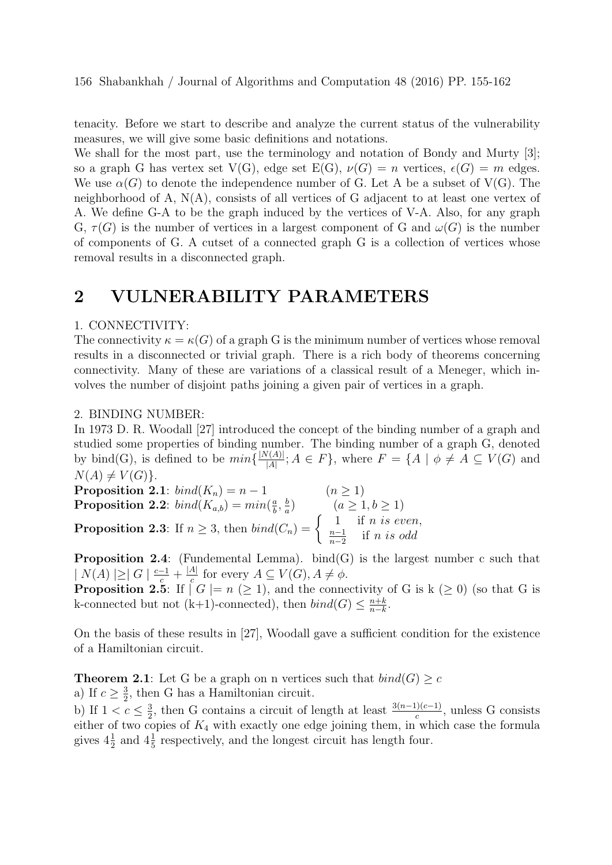tenacity. Before we start to describe and analyze the current status of the vulnerability measures, we will give some basic definitions and notations.

We shall for the most part, use the terminology and notation of Bondy and Murty [3]; so a graph G has vertex set  $V(G)$ , edge set  $E(G)$ ,  $\nu(G) = n$  vertices,  $\epsilon(G) = m$  edges. We use  $\alpha(G)$  to denote the independence number of G. Let A be a subset of V(G). The neighborhood of A,  $N(A)$ , consists of all vertices of G adjacent to at least one vertex of A. We define G-A to be the graph induced by the vertices of V-A. Also, for any graph G,  $\tau(G)$  is the number of vertices in a largest component of G and  $\omega(G)$  is the number of components of G. A cutset of a connected graph G is a collection of vertices whose removal results in a disconnected graph.

# 2 VULNERABILITY PARAMETERS

#### 1. CONNECTIVITY:

The connectivity  $\kappa = \kappa(G)$  of a graph G is the minimum number of vertices whose removal results in a disconnected or trivial graph. There is a rich body of theorems concerning connectivity. Many of these are variations of a classical result of a Meneger, which involves the number of disjoint paths joining a given pair of vertices in a graph.

#### 2. BINDING NUMBER:

In 1973 D. R. Woodall [27] introduced the concept of the binding number of a graph and studied some properties of binding number. The binding number of a graph G, denoted by bind(G), is defined to be  $min\{\frac{|N(A)|}{|A|}\}$  $\frac{d(A)|}{|A|}$ ;  $A \in F$ , where  $F = \{A \mid \phi \neq A \subseteq V(G) \text{ and }$  $N(A) \neq V(G)$ .

Proposition 2.1:  $bind(K_n) = n - 1$  ( $n \ge 1$ ) **Proposition 2.2**:  $bind(K_{a,b}) = min(\frac{a}{b})$  $\frac{a}{b}, \frac{b}{a}$  $\frac{b}{a}$   $(a \ge 1, b \ge 1)$ **Proposition 2.3**: If  $n \geq 3$ , then  $bind(C_n) = \begin{cases} 1 & \text{if } n \text{ is even,} \\ n-1 & \text{if } n \text{ is odd.} \end{cases}$  $n-1$  $\frac{n-1}{n-2}$  if *n is odd* 

**Proposition 2.4:** (Fundemental Lemma). bind(G) is the largest number c such that  $|N(A)| \geq |G| \frac{c-1}{c} + \frac{|A|}{c}$  $\frac{A}{c}$  for every  $A \subseteq V(G), A \neq \phi$ .

**Proposition 2.5:** If  $|G| = n \geq 1$ , and the connectivity of G is k  $(\geq 0)$  (so that G is k-connected but not (k+1)-connected), then  $bind(G) \leq \frac{n+k}{n-k}$  $\frac{n+k}{n-k}$ .

On the basis of these results in [27], Woodall gave a sufficient condition for the existence of a Hamiltonian circuit.

**Theorem 2.1**: Let G be a graph on n vertices such that  $bind(G) \geq c$ a) If  $c \geq \frac{3}{2}$  $\frac{3}{2}$ , then G has a Hamiltonian circuit.

b) If  $1 < c \leq \frac{3}{2}$  $\frac{3}{2}$ , then G contains a circuit of length at least  $\frac{3(n-1)(c-1)}{c}$ , unless G consists either of two copies of  $K_4$  with exactly one edge joining them, in which case the formula gives  $4\frac{1}{2}$  and  $4\frac{1}{5}$  respectively, and the longest circuit has length four.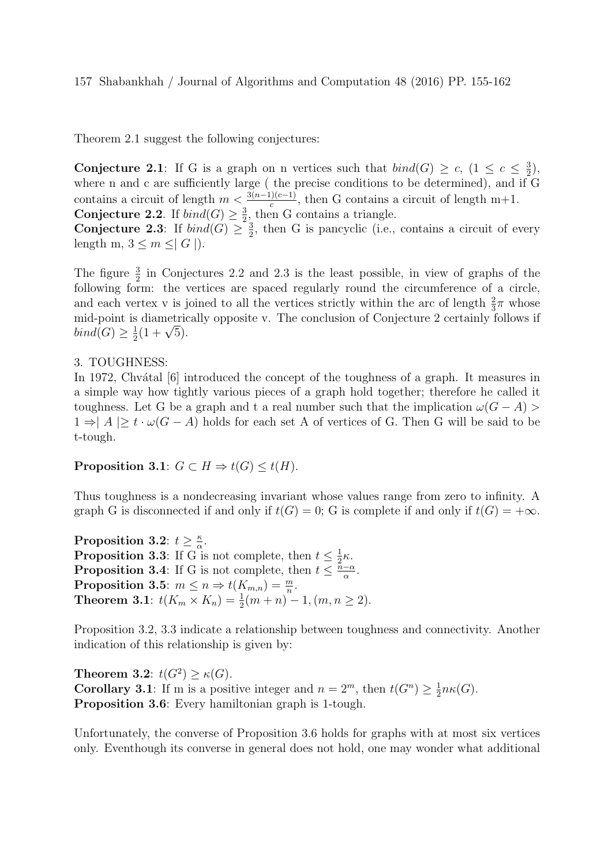Theorem 2.1 suggest the following conjectures:

**Conjecture 2.1**: If G is a graph on n vertices such that  $bind(G) \geq c$ ,  $(1 \leq c \leq \frac{3}{2})$  $(\frac{3}{2}),$ where n and c are sufficiently large (the precise conditions to be determined), and if G contains a circuit of length  $m < \frac{3(n-1)(c-1)}{c}$ , then G contains a circuit of length m+1. Conjecture 2.2. If  $bind(G) \geq \frac{3}{2}$  $\frac{3}{2}$ , then G contains a triangle.

Conjecture 2.3: If  $bind(G) \geq \frac{3}{2}$  $\frac{3}{2}$ , then G is pancyclic (i.e., contains a circuit of every length m,  $3 \leq m \leq |G|$ ).

The figure  $\frac{3}{2}$  in Conjectures 2.2 and 2.3 is the least possible, in view of graphs of the following form: the vertices are spaced regularly round the circumference of a circle, and each vertex v is joined to all the vertices strictly within the arc of length  $\frac{2}{3}\pi$  whose mid-point is diametrically opposite v. The conclusion of Conjecture 2 certainly follows if  $bind(G) \geq \frac{1}{2}$ s diametric<br> $\frac{1}{2}(1+\sqrt{5}).$ 

#### 3. TOUGHNESS:

In 1972, Chvatal [6] introduced the concept of the toughness of a graph. It measures in a simple way how tightly various pieces of a graph hold together; therefore he called it toughness. Let G be a graph and t a real number such that the implication  $\omega(G - A)$  $1 \Rightarrow |A| \ge t \cdot \omega(G - A)$  holds for each set A of vertices of G. Then G will be said to be t-tough.

### Proposition 3.1:  $G \subset H \Rightarrow t(G) \leq t(H)$ .

Thus toughness is a nondecreasing invariant whose values range from zero to infinity. A graph G is disconnected if and only if  $t(G) = 0$ ; G is complete if and only if  $t(G) = +\infty$ .

Proposition 3.2:  $t \geq \frac{\kappa}{\alpha}$  $\frac{\kappa}{\alpha}$ . **Proposition 3.3**: If G is not complete, then  $t \leq \frac{1}{2}$  $rac{1}{2}\kappa$ . **Proposition 3.4:** If G is not complete, then  $t \leq \frac{\bar{n}-\alpha}{\alpha}$  $\frac{-\alpha}{\alpha}$ . Proposition 3.5:  $m \leq n \Rightarrow t(K_{m,n}) = \frac{m}{n}$ . **Theorem 3.1**:  $t(K_m \times K_n) = \frac{1}{2}(m+n)^{-1}$ ,  $(m, n \ge 2)$ .

Proposition 3.2, 3.3 indicate a relationship between toughness and connectivity. Another indication of this relationship is given by:

Theorem 3.2:  $t(G^2) \ge \kappa(G)$ . **Corollary 3.1**: If m is a positive integer and  $n = 2^m$ , then  $t(G^n) \geq \frac{1}{2}$  $\frac{1}{2}n\kappa(G).$ Proposition 3.6: Every hamiltonian graph is 1-tough.

Unfortunately, the converse of Proposition 3.6 holds for graphs with at most six vertices only. Eventhough its converse in general does not hold, one may wonder what additional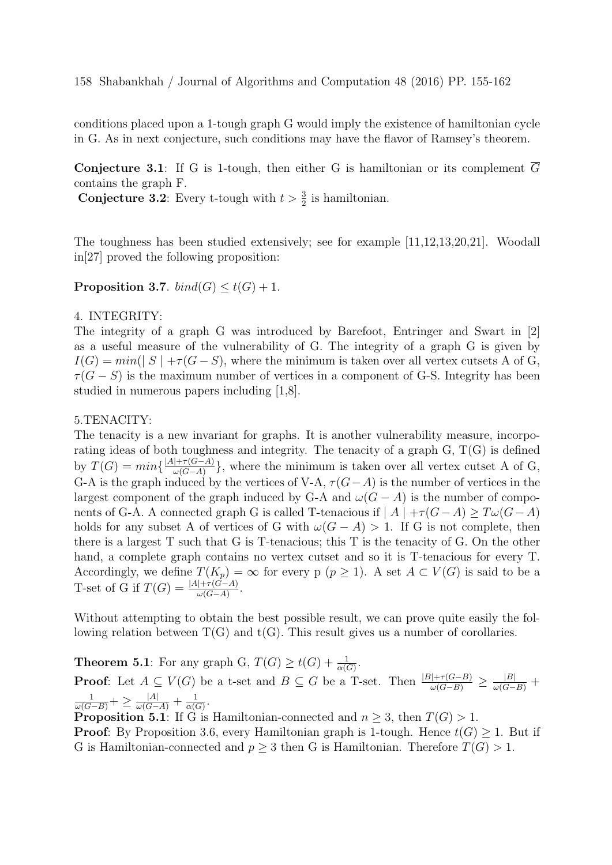conditions placed upon a 1-tough graph G would imply the existence of hamiltonian cycle in G. As in next conjecture, such conditions may have the flavor of Ramsey's theorem.

**Conjecture 3.1:** If G is 1-tough, then either G is hamiltonian or its complement  $\overline{G}$ contains the graph F.

**Conjecture 3.2:** Every t-tough with  $t > \frac{3}{2}$  is hamiltonian.

The toughness has been studied extensively; see for example [11,12,13,20,21]. Woodall in[27] proved the following proposition:

**Proposition 3.7.** bind(G)  $\leq t(G) + 1$ .

### 4. INTEGRITY:

The integrity of a graph G was introduced by Barefoot, Entringer and Swart in [2] as a useful measure of the vulnerability of G. The integrity of a graph G is given by  $I(G) = min(|S| + \tau(G - S))$ , where the minimum is taken over all vertex cutsets A of G,  $\tau(G-S)$  is the maximum number of vertices in a component of G-S. Integrity has been studied in numerous papers including [1,8].

#### 5.TENACITY:

The tenacity is a new invariant for graphs. It is another vulnerability measure, incorporating ideas of both toughness and integrity. The tenacity of a graph G, T(G) is defined by  $T(G) = min\{\frac{|A| + \tau(G-A)}{\omega(G-A)}\}$  $\frac{|+\tau(G-A)|}{\omega(G-A)}\}$ , where the minimum is taken over all vertex cutset A of G, G-A is the graph induced by the vertices of V-A,  $\tau(G-A)$  is the number of vertices in the largest component of the graph induced by G-A and  $\omega(G - A)$  is the number of components of G-A. A connected graph G is called T-tenacious if  $|A| + \tau(G-A) \geq T\omega(G-A)$ holds for any subset A of vertices of G with  $\omega(G - A) > 1$ . If G is not complete, then there is a largest T such that G is T-tenacious; this T is the tenacity of G. On the other hand, a complete graph contains no vertex cutset and so it is T-tenacious for every T. Accordingly, we define  $T(K_p) = \infty$  for every p  $(p \geq 1)$ . A set  $A \subset V(G)$  is said to be a T-set of G if  $T(G) = \frac{|A| + \tau(G-A)}{\omega(G-A)}$ .

Without attempting to obtain the best possible result, we can prove quite easily the following relation between  $T(G)$  and  $t(G)$ . This result gives us a number of corollaries.

**Theorem 5.1**: For any graph G,  $T(G) \ge t(G) + \frac{1}{\alpha(G)}$ . **Proof**: Let  $A \subseteq V(G)$  be a t-set and  $B \subseteq G$  be a T-set. Then  $\frac{|B| + \tau(G-B)}{\omega(G-B)} \ge \frac{|B|}{\omega(G-B)} +$  $\frac{1}{\omega(G-B)}+\geq\frac{|A|}{\omega(G-A)}+\frac{1}{\alpha(G)}$  $\frac{1}{\alpha(G)}$ .

**Proposition 5.1**: If G is Hamiltonian-connected and  $n \geq 3$ , then  $T(G) > 1$ . **Proof:** By Proposition 3.6, every Hamiltonian graph is 1-tough. Hence  $t(G) \geq 1$ . But if G is Hamiltonian-connected and  $p \geq 3$  then G is Hamiltonian. Therefore  $T(G) > 1$ .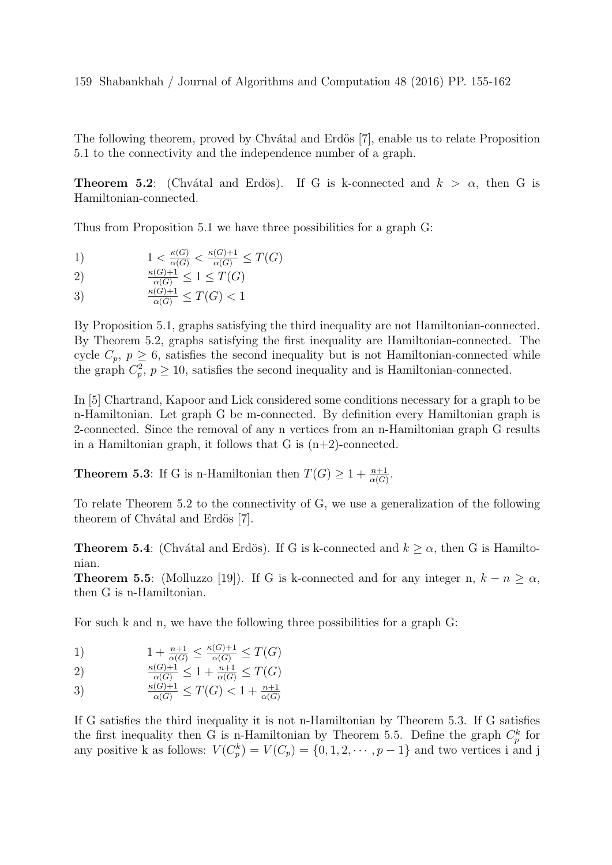#### 159 Shabankhah / Journal of Algorithms and Computation 48 (2016) PP. 155-162

The following theorem, proved by Chvatal and Erdös [7], enable us to relate Proposition 5.1 to the connectivity and the independence number of a graph.

**Theorem 5.2:** (Chvátal and Erdös). If G is k-connected and  $k > \alpha$ , then G is Hamiltonian-connected.

Thus from Proposition 5.1 we have three possibilities for a graph G:

- 1)  $1 < \frac{\kappa(G)}{\alpha(G)} < \frac{\kappa(G)+1}{\alpha(G)} \leq T(G)$
- 
- 2)  $\frac{\kappa(G)+1}{\alpha(G)} \leq 1 \leq T(G)$
- 3)  $\frac{\kappa(G)+1}{\alpha(G)} \leq T(G) < 1$

By Proposition 5.1, graphs satisfying the third inequality are not Hamiltonian-connected. By Theorem 5.2, graphs satisfying the first inequality are Hamiltonian-connected. The cycle  $C_p$ ,  $p \geq 6$ , satisfies the second inequality but is not Hamiltonian-connected while the graph  $C_p^2$ ,  $p \ge 10$ , satisfies the second inequality and is Hamiltonian-connected.

In [5] Chartrand, Kapoor and Lick considered some conditions necessary for a graph to be n-Hamiltonian. Let graph G be m-connected. By definition every Hamiltonian graph is 2-connected. Since the removal of any n vertices from an n-Hamiltonian graph G results in a Hamiltonian graph, it follows that  $G$  is  $(n+2)$ -connected.

**Theorem 5.3:** If G is n-Hamiltonian then  $T(G) \geq 1 + \frac{n+1}{\alpha(G)}$ .

To relate Theorem 5.2 to the connectivity of G, we use a generalization of the following theorem of Chvátal and Erdös [7].

**Theorem 5.4**: (Chvátal and Erdös). If G is k-connected and  $k \geq \alpha$ , then G is Hamiltonian.

**Theorem 5.5:** (Molluzzo [19]). If G is k-connected and for any integer n,  $k - n \ge \alpha$ , then G is n-Hamiltonian.

For such k and n, we have the following three possibilities for a graph G:

1) 
$$
1 + \frac{n+1}{\alpha(G)} \le \frac{\kappa(G)+1}{\alpha(G)} \le T(G)
$$

2) 
$$
\frac{\kappa(G)+1}{\alpha(G)} \leq 1 + \frac{n+1}{\alpha(G)} \leq T(G)
$$

3) 
$$
\frac{\kappa(G)+1}{\alpha(G)} \leq T(G) < 1 + \frac{n+1}{\alpha(G)}
$$

If G satisfies the third inequality it is not n-Hamiltonian by Theorem 5.3. If G satisfies the first inequality then G is n-Hamiltonian by Theorem 5.5. Define the graph  $C_p^k$  for any positive k as follows:  $V(C_p^k) = V(C_p) = \{0, 1, 2, \dots, p-1\}$  and two vertices i and j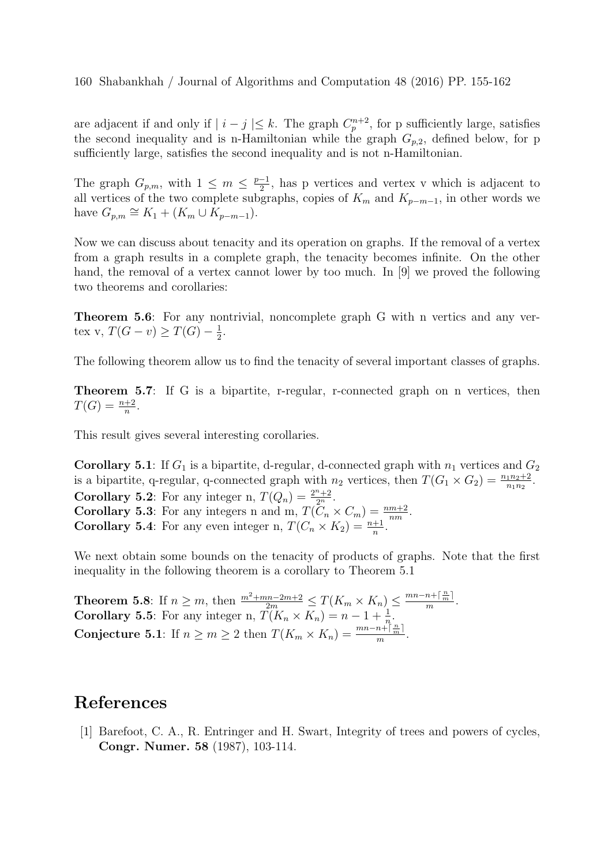are adjacent if and only if  $|i - j| \leq k$ . The graph  $C_p^{n+2}$ , for p sufficiently large, satisfies the second inequality and is n-Hamiltonian while the graph  $G_{p,2}$ , defined below, for p sufficiently large, satisfies the second inequality and is not n-Hamiltonian.

The graph  $G_{p,m}$ , with  $1 \leq m \leq \frac{p-1}{2}$  $\frac{-1}{2}$ , has p vertices and vertex v which is adjacent to all vertices of the two complete subgraphs, copies of  $K_m$  and  $K_{p-m-1}$ , in other words we have  $G_{p,m} \cong K_1 + (K_m \cup \overline{K}_{p-m-1}).$ 

Now we can discuss about tenacity and its operation on graphs. If the removal of a vertex from a graph results in a complete graph, the tenacity becomes infinite. On the other hand, the removal of a vertex cannot lower by too much. In [9] we proved the following two theorems and corollaries:

Theorem 5.6: For any nontrivial, noncomplete graph G with n vertics and any vertex v,  $T(G - v) \geq T(G) - \frac{1}{2}$  $\frac{1}{2}$ .

The following theorem allow us to find the tenacity of several important classes of graphs.

Theorem 5.7: If G is a bipartite, r-regular, r-connected graph on n vertices, then  $T(G) = \frac{n+2}{n}$ .

This result gives several interesting corollaries.

**Corollary 5.1**: If  $G_1$  is a bipartite, d-regular, d-connected graph with  $n_1$  vertices and  $G_2$ is a bipartite, q-regular, q-connected graph with  $n_2$  vertices, then  $T(G_1 \times G_2) = \frac{n_1 n_2 + 2}{n_1 n_2}$ . **Corollary 5.2:** For any integer n,  $T(Q_n) = \frac{2^n + 2}{2^n}$ . **Corollary 5.3**: For any integers n and m,  $T(C_n \times C_m) = \frac{nm+2}{nm}$ . **Corollary 5.4**: For any even integer n,  $T(C_n \times K_2) = \frac{n+1}{n}$ .

We next obtain some bounds on the tenacity of products of graphs. Note that the first inequality in the following theorem is a corollary to Theorem 5.1

**Theorem 5.8:** If  $n \ge m$ , then  $\frac{m^2 + mn - 2m + 2}{2m} \le T(K_m \times K_n) \le \frac{mn - n + \lceil \frac{n}{m} \rceil}{m}$  $\frac{n+1}{m}$ . **Corollary 5.5**: For any integer n,  $\overline{T}(K_n \times K_n) = n - 1 + \frac{1}{n}$ . Conjecture 5.1: If  $n \ge m \ge 2$  then  $T(K_m \times K_n) = \frac{mn - n + \lceil \frac{n}{m} \rceil}{m}$  $rac{n+1}{m}$ .

## References

[1] Barefoot, C. A., R. Entringer and H. Swart, Integrity of trees and powers of cycles, Congr. Numer. 58 (1987), 103-114.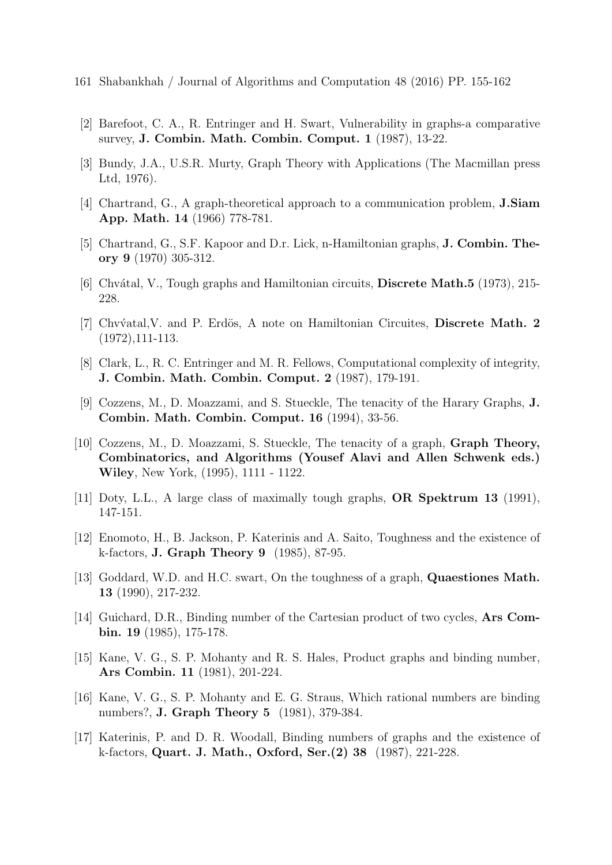- 161 Shabankhah / Journal of Algorithms and Computation 48 (2016) PP. 155-162
- [2] Barefoot, C. A., R. Entringer and H. Swart, Vulnerability in graphs-a comparative survey, J. Combin. Math. Combin. Comput. 1 (1987), 13-22.
- [3] Bundy, J.A., U.S.R. Murty, Graph Theory with Applications (The Macmillan press Ltd, 1976).
- [4] Chartrand, G., A graph-theoretical approach to a communication problem, J.Siam App. Math. 14 (1966) 778-781.
- [5] Chartrand, G., S.F. Kapoor and D.r. Lick, n-Hamiltonian graphs, J. Combin. Theory 9 (1970) 305-312.
- [6] Chvátal, V., Tough graphs and Hamiltonian circuits, **Discrete Math.5** (1973), 215-228.
- [7] Chv $\varphi$ atal, V. and P. Erdös, A note on Hamiltonian Circuites, Discrete Math. 2 (1972),111-113.
- [8] Clark, L., R. C. Entringer and M. R. Fellows, Computational complexity of integrity, J. Combin. Math. Combin. Comput. 2 (1987), 179-191.
- [9] Cozzens, M., D. Moazzami, and S. Stueckle, The tenacity of the Harary Graphs, J. Combin. Math. Combin. Comput. 16 (1994), 33-56.
- [10] Cozzens, M., D. Moazzami, S. Stueckle, The tenacity of a graph, Graph Theory, Combinatorics, and Algorithms (Yousef Alavi and Allen Schwenk eds.) Wiley, New York, (1995), 1111 - 1122.
- [11] Doty, L.L., A large class of maximally tough graphs, OR Spektrum 13 (1991), 147-151.
- [12] Enomoto, H., B. Jackson, P. Katerinis and A. Saito, Toughness and the existence of k-factors, J. Graph Theory 9 (1985), 87-95.
- [13] Goddard, W.D. and H.C. swart, On the toughness of a graph, **Quaestiones Math.** 13 (1990), 217-232.
- [14] Guichard, D.R., Binding number of the Cartesian product of two cycles, Ars Combin. 19 (1985), 175-178.
- [15] Kane, V. G., S. P. Mohanty and R. S. Hales, Product graphs and binding number, Ars Combin. 11 (1981), 201-224.
- [16] Kane, V. G., S. P. Mohanty and E. G. Straus, Which rational numbers are binding numbers?, J. Graph Theory 5 (1981), 379-384.
- [17] Katerinis, P. and D. R. Woodall, Binding numbers of graphs and the existence of k-factors, Quart. J. Math., Oxford, Ser.(2) 38 (1987), 221-228.